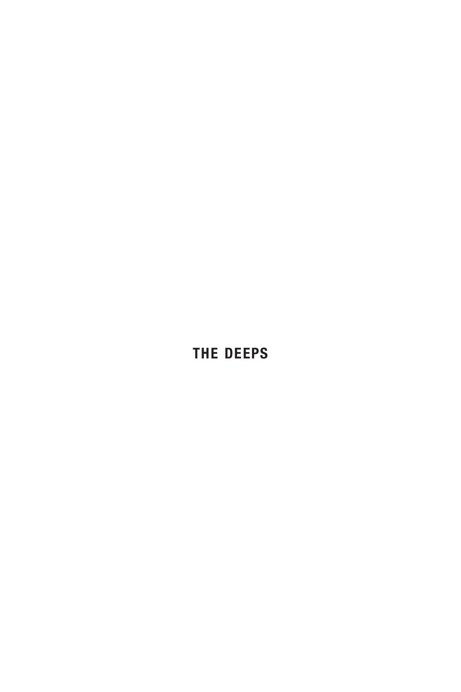## **the deeps**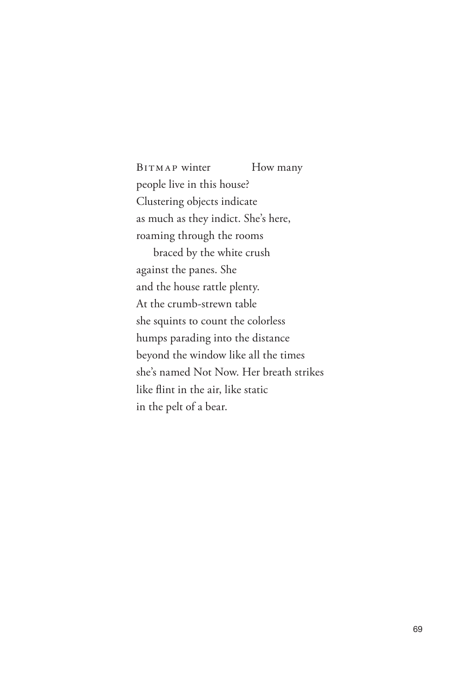BITMAP winter How many people live in this house? Clustering objects indicate as much as they indict. She's here, roaming through the rooms braced by the white crush against the panes. She and the house rattle plenty. At the crumb-strewn table she squints to count the colorless humps parading into the distance beyond the window like all the times she's named Not Now. Her breath strikes like flint in the air, like static in the pelt of a bear.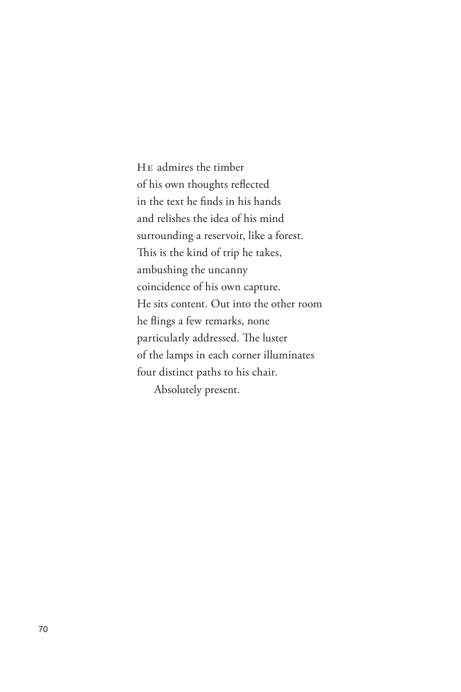He admires the timber of his own thoughts reflected in the text he finds in his hands and relishes the idea of his mind surrounding a reservoir, like a forest. This is the kind of trip he takes, ambushing the uncanny coincidence of his own capture. He sits content. Out into the other room he flings a few remarks, none particularly addressed. The luster of the lamps in each corner illuminates four distinct paths to his chair. Absolutely present.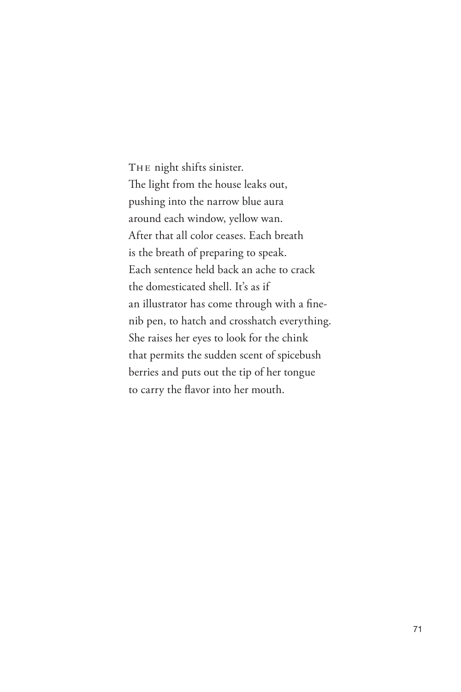The night shifts sinister. The light from the house leaks out, pushing into the narrow blue aura around each window, yellow wan. After that all color ceases. Each breath is the breath of preparing to speak. Each sentence held back an ache to crack the domesticated shell. It's as if an illustrator has come through with a finenib pen, to hatch and crosshatch everything. She raises her eyes to look for the chink that permits the sudden scent of spicebush berries and puts out the tip of her tongue to carry the flavor into her mouth.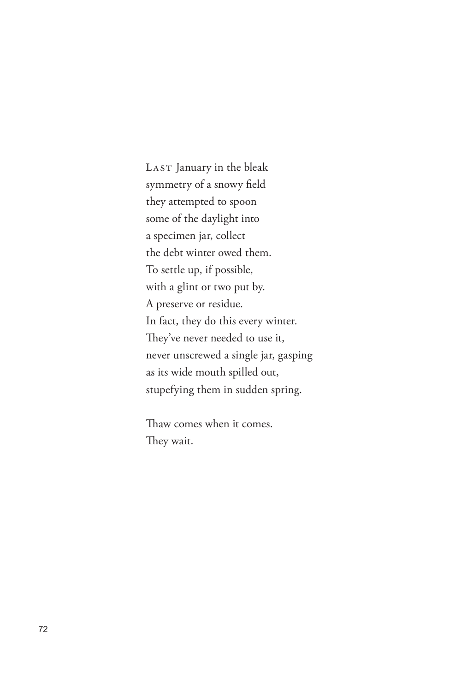LAST January in the bleak symmetry of a snowy field they attempted to spoon some of the daylight into a specimen jar, collect the debt winter owed them. To settle up, if possible, with a glint or two put by. A preserve or residue. In fact, they do this every winter. They've never needed to use it, never unscrewed a single jar, gasping as its wide mouth spilled out, stupefying them in sudden spring.

Thaw comes when it comes. They wait.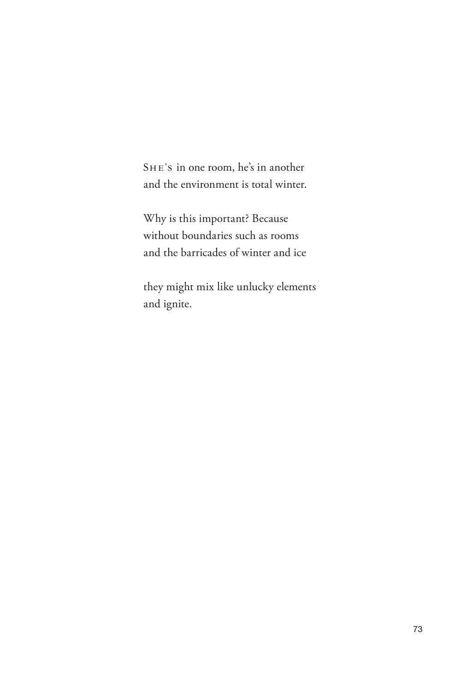She's in one room, he's in another and the environment is total winter.

Why is this important? Because without boundaries such as rooms and the barricades of winter and ice

they might mix like unlucky elements and ignite.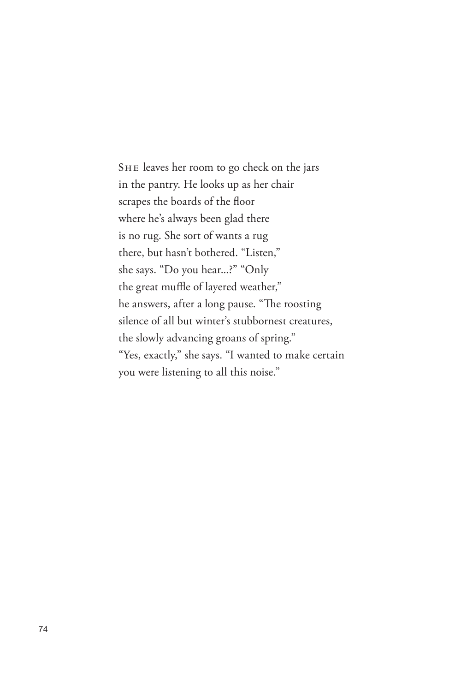SHE leaves her room to go check on the jars in the pantry. He looks up as her chair scrapes the boards of the floor where he's always been glad there is no rug. She sort of wants a rug there, but hasn't bothered. "Listen," she says. "Do you hear...?" "Only the great muffle of layered weather," he answers, after a long pause. "The roosting silence of all but winter's stubbornest creatures, the slowly advancing groans of spring." "Yes, exactly," she says. "I wanted to make certain you were listening to all this noise."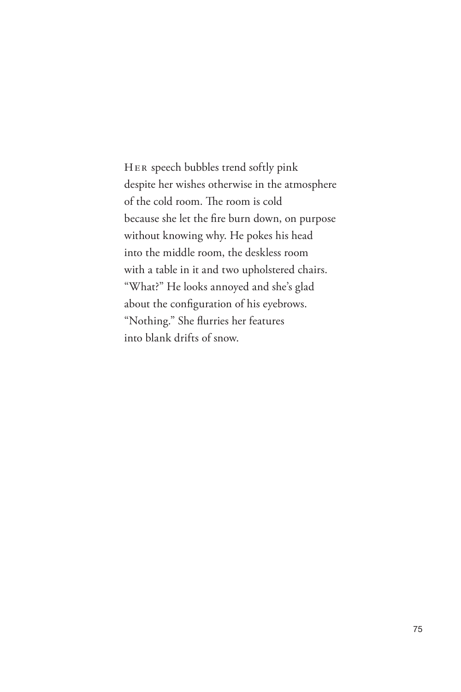Her speech bubbles trend softly pink despite her wishes otherwise in the atmosphere of the cold room. The room is cold because she let the fire burn down, on purpose without knowing why. He pokes his head into the middle room, the deskless room with a table in it and two upholstered chairs. "What?" He looks annoyed and she's glad about the configuration of his eyebrows. "Nothing." She flurries her features into blank drifts of snow.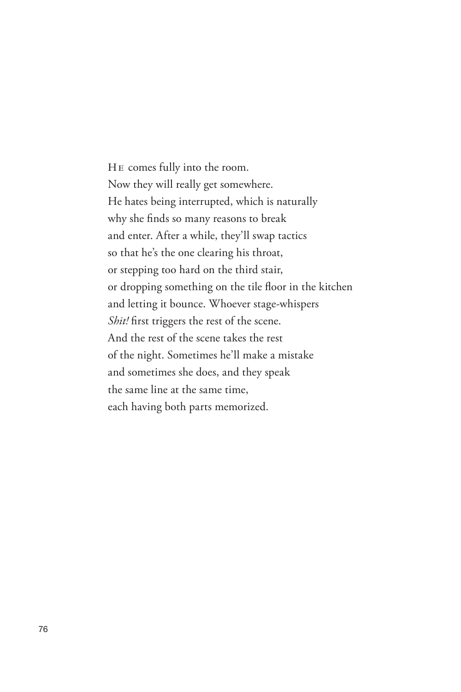He comes fully into the room. Now they will really get somewhere. He hates being interrupted, which is naturally why she finds so many reasons to break and enter. After a while, they'll swap tactics so that he's the one clearing his throat, or stepping too hard on the third stair, or dropping something on the tile floor in the kitchen and letting it bounce. Whoever stage-whispers *Shit!* first triggers the rest of the scene. And the rest of the scene takes the rest of the night. Sometimes he'll make a mistake and sometimes she does, and they speak the same line at the same time, each having both parts memorized.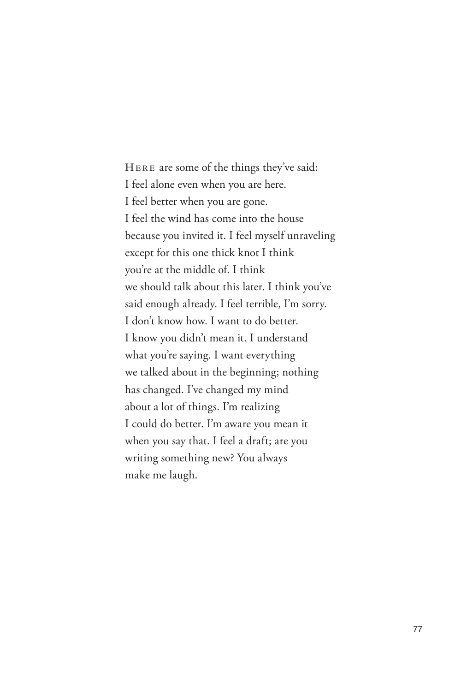Here are some of the things they've said: I feel alone even when you are here. I feel better when you are gone. I feel the wind has come into the house because you invited it. I feel myself unraveling except for this one thick knot I think you're at the middle of. I think we should talk about this later. I think you've said enough already. I feel terrible, I'm sorry. I don't know how. I want to do better. I know you didn't mean it. I understand what you're saying. I want everything we talked about in the beginning; nothing has changed. I've changed my mind about a lot of things. I'm realizing I could do better. I'm aware you mean it when you say that. I feel a draft; are you writing something new? You always make me laugh.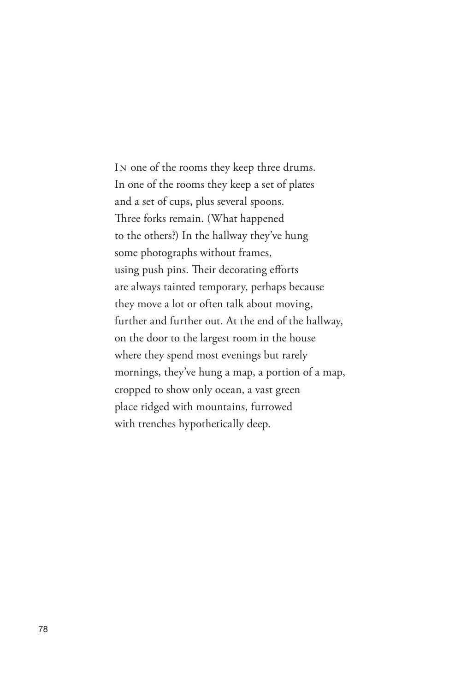In one of the rooms they keep three drums. In one of the rooms they keep a set of plates and a set of cups, plus several spoons. Three forks remain. (What happened to the others?) In the hallway they've hung some photographs without frames, using push pins. Their decorating efforts are always tainted temporary, perhaps because they move a lot or often talk about moving, further and further out. At the end of the hallway, on the door to the largest room in the house where they spend most evenings but rarely mornings, they've hung a map, a portion of a map, cropped to show only ocean, a vast green place ridged with mountains, furrowed with trenches hypothetically deep.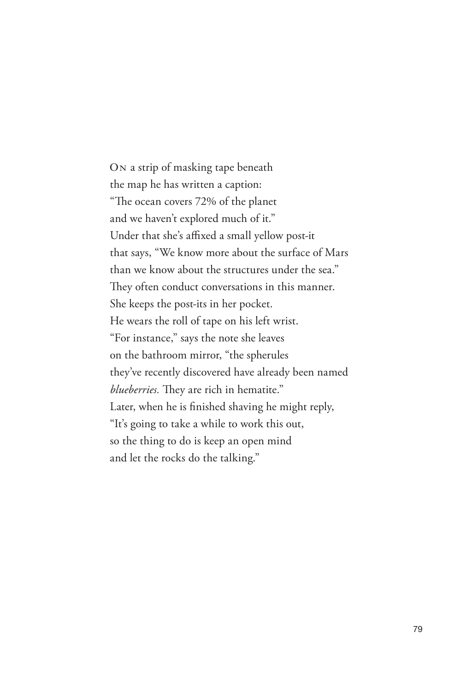On a strip of masking tape beneath the map he has written a caption: "The ocean covers 72% of the planet and we haven't explored much of it." Under that she's affixed a small yellow post-it that says, "We know more about the surface of Mars than we know about the structures under the sea." They often conduct conversations in this manner. She keeps the post-its in her pocket. He wears the roll of tape on his left wrist. "For instance," says the note she leaves on the bathroom mirror, "the spherules they've recently discovered have already been named *blueberries.* They are rich in hematite." Later, when he is finished shaving he might reply, "It's going to take a while to work this out, so the thing to do is keep an open mind and let the rocks do the talking."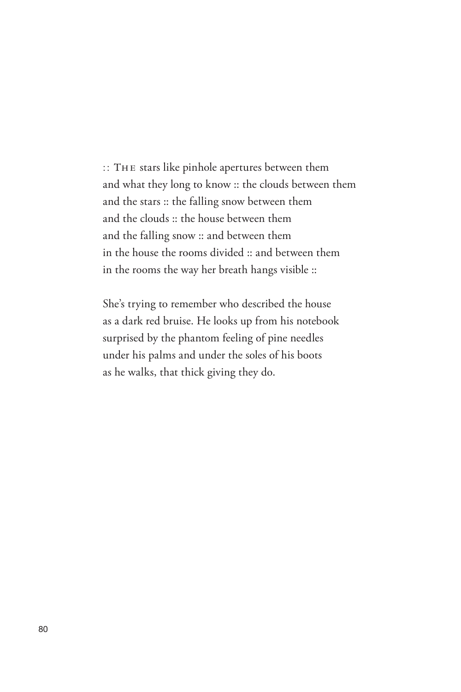:: The stars like pinhole apertures between them and what they long to know :: the clouds between them and the stars :: the falling snow between them and the clouds :: the house between them and the falling snow :: and between them in the house the rooms divided :: and between them in the rooms the way her breath hangs visible ::

She's trying to remember who described the house as a dark red bruise. He looks up from his notebook surprised by the phantom feeling of pine needles under his palms and under the soles of his boots as he walks, that thick giving they do.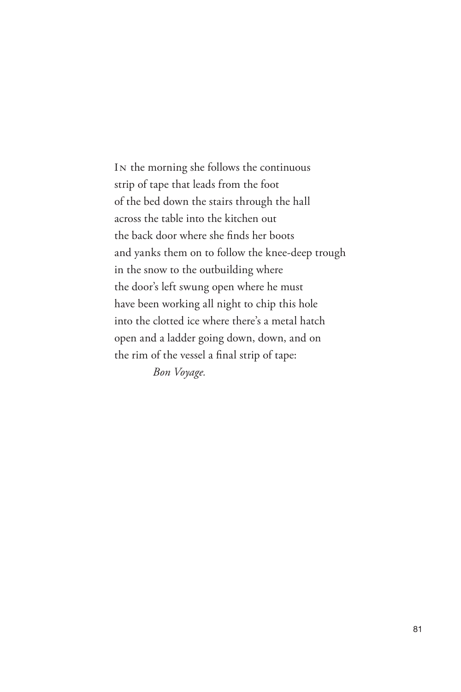In the morning she follows the continuous strip of tape that leads from the foot of the bed down the stairs through the hall across the table into the kitchen out the back door where she finds her boots and yanks them on to follow the knee-deep trough in the snow to the outbuilding where the door's left swung open where he must have been working all night to chip this hole into the clotted ice where there's a metal hatch open and a ladder going down, down, and on the rim of the vessel a final strip of tape: *Bon Voyage.*